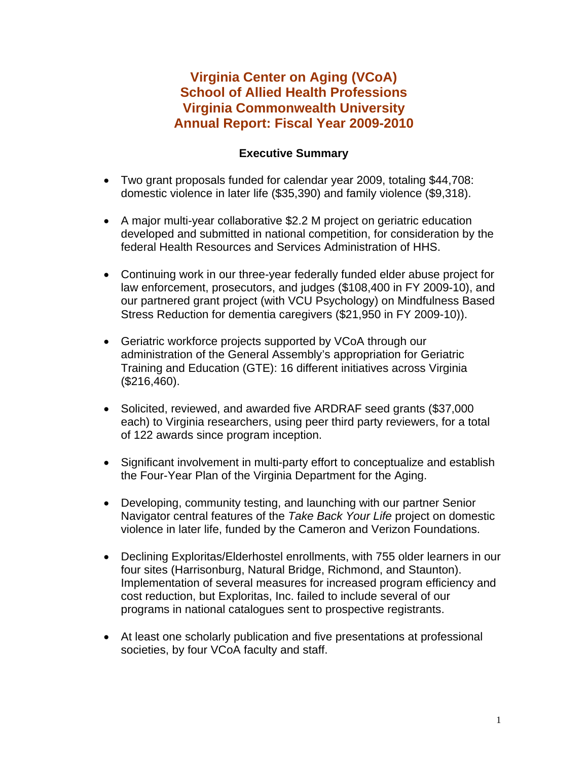# **Virginia Center on Aging (VCoA) School of Allied Health Professions Virginia Commonwealth University Annual Report: Fiscal Year 2009-2010**

# **Executive Summary**

- Two grant proposals funded for calendar year 2009, totaling \$44,708: domestic violence in later life (\$35,390) and family violence (\$9,318).
- A major multi-year collaborative \$2.2 M project on geriatric education developed and submitted in national competition, for consideration by the federal Health Resources and Services Administration of HHS.
- Continuing work in our three-year federally funded elder abuse project for law enforcement, prosecutors, and judges (\$108,400 in FY 2009-10), and our partnered grant project (with VCU Psychology) on Mindfulness Based Stress Reduction for dementia caregivers (\$21,950 in FY 2009-10)).
- Geriatric workforce projects supported by VCoA through our administration of the General Assembly's appropriation for Geriatric Training and Education (GTE): 16 different initiatives across Virginia (\$216,460).
- Solicited, reviewed, and awarded five ARDRAF seed grants (\$37,000 each) to Virginia researchers, using peer third party reviewers, for a total of 122 awards since program inception.
- Significant involvement in multi-party effort to conceptualize and establish the Four-Year Plan of the Virginia Department for the Aging.
- Developing, community testing, and launching with our partner Senior Navigator central features of the *Take Back Your Life* project on domestic violence in later life, funded by the Cameron and Verizon Foundations.
- Declining Exploritas/Elderhostel enrollments, with 755 older learners in our four sites (Harrisonburg, Natural Bridge, Richmond, and Staunton). Implementation of several measures for increased program efficiency and cost reduction, but Exploritas, Inc. failed to include several of our programs in national catalogues sent to prospective registrants.
- At least one scholarly publication and five presentations at professional societies, by four VCoA faculty and staff.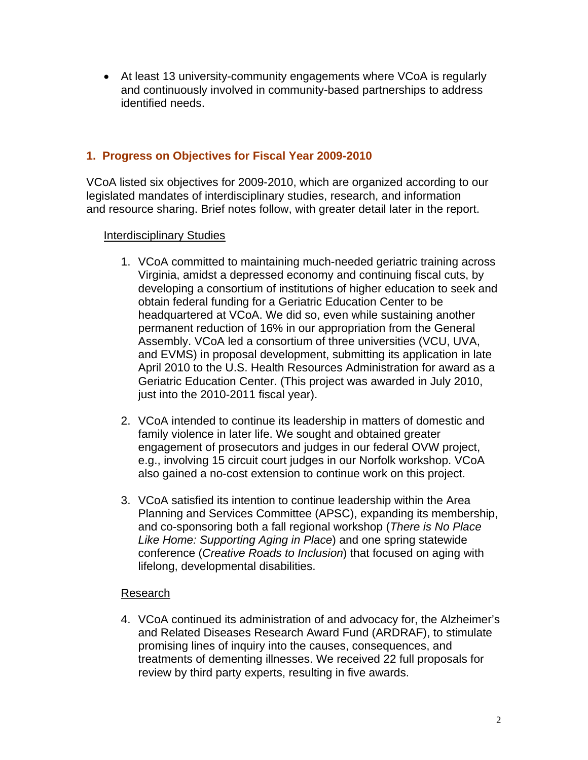• At least 13 university-community engagements where VCoA is regularly and continuously involved in community-based partnerships to address identified needs.

## **1. Progress on Objectives for Fiscal Year 2009-2010**

VCoA listed six objectives for 2009-2010, which are organized according to our legislated mandates of interdisciplinary studies, research, and information and resource sharing. Brief notes follow, with greater detail later in the report.

### Interdisciplinary Studies

- 1. VCoA committed to maintaining much-needed geriatric training across Virginia, amidst a depressed economy and continuing fiscal cuts, by developing a consortium of institutions of higher education to seek and obtain federal funding for a Geriatric Education Center to be headquartered at VCoA. We did so, even while sustaining another permanent reduction of 16% in our appropriation from the General Assembly. VCoA led a consortium of three universities (VCU, UVA, and EVMS) in proposal development, submitting its application in late April 2010 to the U.S. Health Resources Administration for award as a Geriatric Education Center. (This project was awarded in July 2010, just into the 2010-2011 fiscal year).
- 2. VCoA intended to continue its leadership in matters of domestic and family violence in later life. We sought and obtained greater engagement of prosecutors and judges in our federal OVW project, e.g., involving 15 circuit court judges in our Norfolk workshop. VCoA also gained a no-cost extension to continue work on this project.
- 3. VCoA satisfied its intention to continue leadership within the Area Planning and Services Committee (APSC), expanding its membership, and co-sponsoring both a fall regional workshop (*There is No Place Like Home: Supporting Aging in Place*) and one spring statewide conference (*Creative Roads to Inclusion*) that focused on aging with lifelong, developmental disabilities.

## Research

4. VCoA continued its administration of and advocacy for, the Alzheimer's and Related Diseases Research Award Fund (ARDRAF), to stimulate promising lines of inquiry into the causes, consequences, and treatments of dementing illnesses. We received 22 full proposals for review by third party experts, resulting in five awards.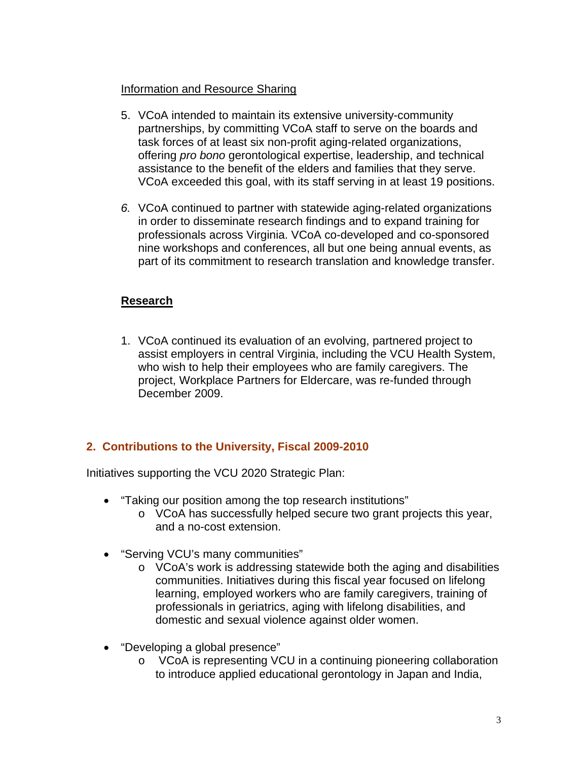### Information and Resource Sharing

- 5. VCoA intended to maintain its extensive university-community partnerships, by committing VCoA staff to serve on the boards and task forces of at least six non-profit aging-related organizations, offering *pro bono* gerontological expertise, leadership, and technical assistance to the benefit of the elders and families that they serve. VCoA exceeded this goal, with its staff serving in at least 19 positions.
- *6.* VCoA continued to partner with statewide aging-related organizations in order to disseminate research findings and to expand training for professionals across Virginia. VCoA co-developed and co-sponsored nine workshops and conferences, all but one being annual events, as part of its commitment to research translation and knowledge transfer.

## **Research**

1. VCoA continued its evaluation of an evolving, partnered project to assist employers in central Virginia, including the VCU Health System, who wish to help their employees who are family caregivers. The project, Workplace Partners for Eldercare, was re-funded through December 2009.

# **2. Contributions to the University, Fiscal 2009-2010**

Initiatives supporting the VCU 2020 Strategic Plan:

- "Taking our position among the top research institutions"
	- o VCoA has successfully helped secure two grant projects this year, and a no-cost extension.
- "Serving VCU's many communities"
	- o VCoA's work is addressing statewide both the aging and disabilities communities. Initiatives during this fiscal year focused on lifelong learning, employed workers who are family caregivers, training of professionals in geriatrics, aging with lifelong disabilities, and domestic and sexual violence against older women.
- "Developing a global presence"
	- o VCoA is representing VCU in a continuing pioneering collaboration to introduce applied educational gerontology in Japan and India,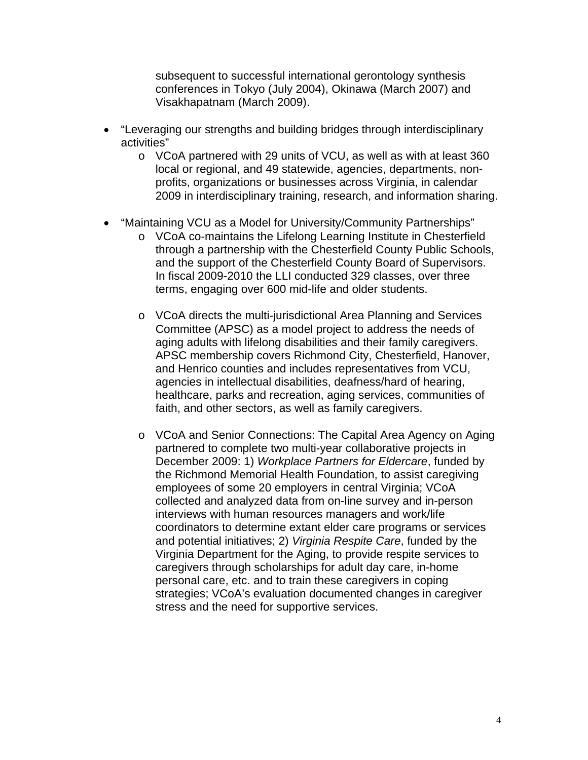subsequent to successful international gerontology synthesis conferences in Tokyo (July 2004), Okinawa (March 2007) and Visakhapatnam (March 2009).

- "Leveraging our strengths and building bridges through interdisciplinary activities"
	- o VCoA partnered with 29 units of VCU, as well as with at least 360 local or regional, and 49 statewide, agencies, departments, nonprofits, organizations or businesses across Virginia, in calendar 2009 in interdisciplinary training, research, and information sharing.
- "Maintaining VCU as a Model for University/Community Partnerships"
	- o VCoA co-maintains the Lifelong Learning Institute in Chesterfield through a partnership with the Chesterfield County Public Schools, and the support of the Chesterfield County Board of Supervisors. In fiscal 2009-2010 the LLI conducted 329 classes, over three terms, engaging over 600 mid-life and older students.
	- o VCoA directs the multi-jurisdictional Area Planning and Services Committee (APSC) as a model project to address the needs of aging adults with lifelong disabilities and their family caregivers. APSC membership covers Richmond City, Chesterfield, Hanover, and Henrico counties and includes representatives from VCU, agencies in intellectual disabilities, deafness/hard of hearing, healthcare, parks and recreation, aging services, communities of faith, and other sectors, as well as family caregivers.
	- o VCoA and Senior Connections: The Capital Area Agency on Aging partnered to complete two multi-year collaborative projects in December 2009: 1) *Workplace Partners for Eldercare*, funded by the Richmond Memorial Health Foundation, to assist caregiving employees of some 20 employers in central Virginia; VCoA collected and analyzed data from on-line survey and in-person interviews with human resources managers and work/life coordinators to determine extant elder care programs or services and potential initiatives; 2) *Virginia Respite Care*, funded by the Virginia Department for the Aging, to provide respite services to caregivers through scholarships for adult day care, in-home personal care, etc. and to train these caregivers in coping strategies; VCoA's evaluation documented changes in caregiver stress and the need for supportive services.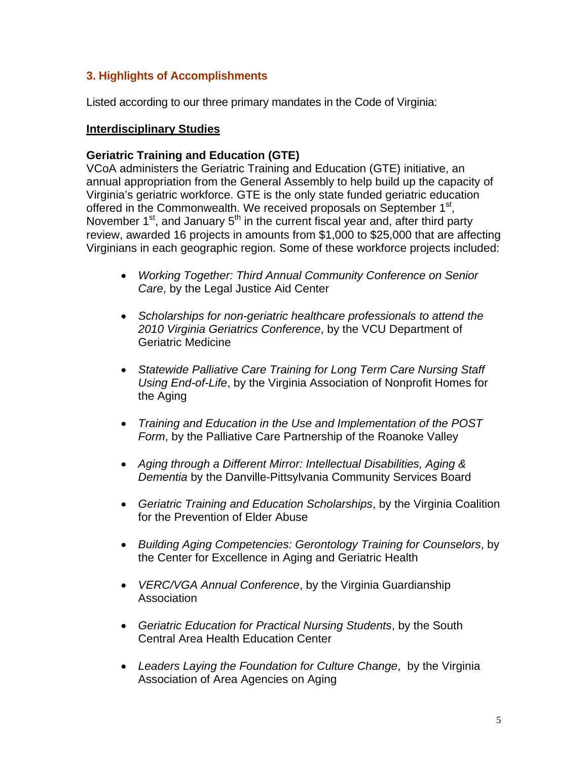# **3. Highlights of Accomplishments**

Listed according to our three primary mandates in the Code of Virginia:

### **Interdisciplinary Studies**

### **Geriatric Training and Education (GTE)**

VCoA administers the Geriatric Training and Education (GTE) initiative, an annual appropriation from the General Assembly to help build up the capacity of Virginia's geriatric workforce. GTE is the only state funded geriatric education offered in the Commonwealth. We received proposals on September 1<sup>st</sup>, November 1<sup>st</sup>, and January 5<sup>th</sup> in the current fiscal year and, after third party review, awarded 16 projects in amounts from \$1,000 to \$25,000 that are affecting Virginians in each geographic region. Some of these workforce projects included:

- *Working Together: Third Annual Community Conference on Senior Care*, by the Legal Justice Aid Center
- *Scholarships for non-geriatric healthcare professionals to attend the 2010 Virginia Geriatrics Conference*, by the VCU Department of Geriatric Medicine
- *Statewide Palliative Care Training for Long Term Care Nursing Staff Using End-of-Life*, by the Virginia Association of Nonprofit Homes for the Aging
- *Training and Education in the Use and Implementation of the POST Form*, by the Palliative Care Partnership of the Roanoke Valley
- *Aging through a Different Mirror: Intellectual Disabilities, Aging & Dementia* by the Danville-Pittsylvania Community Services Board
- *Geriatric Training and Education Scholarships*, by the Virginia Coalition for the Prevention of Elder Abuse
- *Building Aging Competencies: Gerontology Training for Counselors*, by the Center for Excellence in Aging and Geriatric Health
- *VERC/VGA Annual Conference*, by the Virginia Guardianship Association
- *Geriatric Education for Practical Nursing Students*, by the South Central Area Health Education Center
- *Leaders Laying the Foundation for Culture Change*, by the Virginia Association of Area Agencies on Aging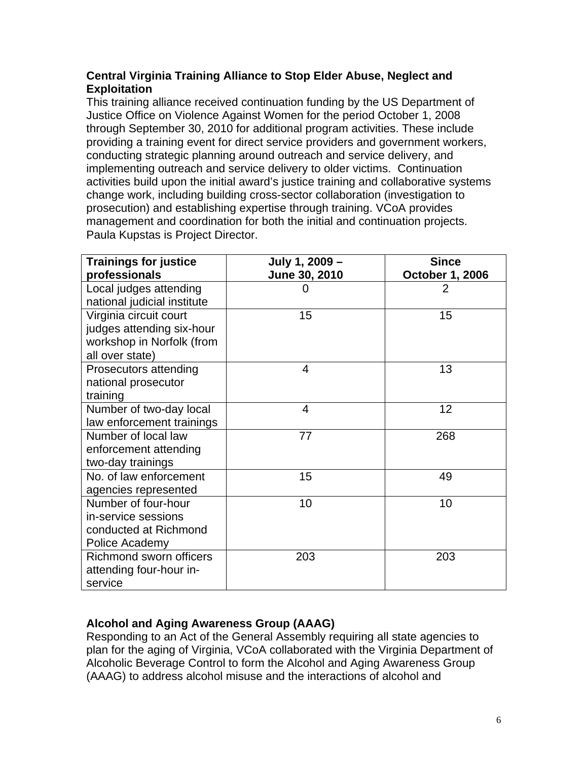### **Central Virginia Training Alliance to Stop Elder Abuse, Neglect and Exploitation**

This training alliance received continuation funding by the US Department of Justice Office on Violence Against Women for the period October 1, 2008 through September 30, 2010 for additional program activities. These include providing a training event for direct service providers and government workers, conducting strategic planning around outreach and service delivery, and implementing outreach and service delivery to older victims. Continuation activities build upon the initial award's justice training and collaborative systems change work, including building cross-sector collaboration (investigation to prosecution) and establishing expertise through training. VCoA provides management and coordination for both the initial and continuation projects. Paula Kupstas is Project Director.

| <b>Trainings for justice</b><br>professionals                                                       | July 1, 2009 -<br>June 30, 2010 | <b>Since</b><br><b>October 1, 2006</b> |
|-----------------------------------------------------------------------------------------------------|---------------------------------|----------------------------------------|
| Local judges attending<br>national judicial institute                                               | 0                               | 2                                      |
| Virginia circuit court<br>judges attending six-hour<br>workshop in Norfolk (from<br>all over state) | 15                              | 15                                     |
| Prosecutors attending<br>national prosecutor<br>training                                            | 4                               | 13                                     |
| Number of two-day local<br>law enforcement trainings                                                | 4                               | 12                                     |
| Number of local law<br>enforcement attending<br>two-day trainings                                   | 77                              | 268                                    |
| No. of law enforcement<br>agencies represented                                                      | 15                              | 49                                     |
| Number of four-hour<br>in-service sessions<br>conducted at Richmond<br>Police Academy               | 10                              | 10                                     |
| <b>Richmond sworn officers</b><br>attending four-hour in-<br>service                                | 203                             | 203                                    |

## **Alcohol and Aging Awareness Group (AAAG)**

Responding to an Act of the General Assembly requiring all state agencies to plan for the aging of Virginia, VCoA collaborated with the Virginia Department of Alcoholic Beverage Control to form the Alcohol and Aging Awareness Group (AAAG) to address alcohol misuse and the interactions of alcohol and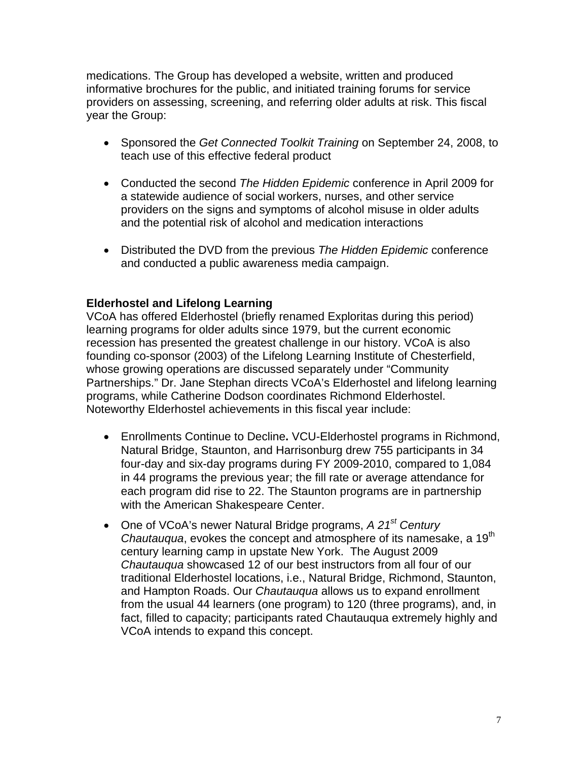medications. The Group has developed a website, written and produced informative brochures for the public, and initiated training forums for service providers on assessing, screening, and referring older adults at risk. This fiscal year the Group:

- Sponsored the *Get Connected Toolkit Training* on September 24, 2008, to teach use of this effective federal product
- Conducted the second *The Hidden Epidemic* conferenc*e* in April 2009 for a statewide audience of social workers, nurses, and other service providers on the signs and symptoms of alcohol misuse in older adults and the potential risk of alcohol and medication interactions
- Distributed the DVD from the previous *The Hidden Epidemic* conference and conducted a public awareness media campaign.

### **Elderhostel and Lifelong Learning**

VCoA has offered Elderhostel (briefly renamed Exploritas during this period) learning programs for older adults since 1979, but the current economic recession has presented the greatest challenge in our history. VCoA is also founding co-sponsor (2003) of the Lifelong Learning Institute of Chesterfield, whose growing operations are discussed separately under "Community Partnerships." Dr. Jane Stephan directs VCoA's Elderhostel and lifelong learning programs, while Catherine Dodson coordinates Richmond Elderhostel. Noteworthy Elderhostel achievements in this fiscal year include:

- Enrollments Continue to Decline**.** VCU-Elderhostel programs in Richmond, Natural Bridge, Staunton, and Harrisonburg drew 755 participants in 34 four-day and six-day programs during FY 2009-2010, compared to 1,084 in 44 programs the previous year; the fill rate or average attendance for each program did rise to 22. The Staunton programs are in partnership with the American Shakespeare Center.
- One of VCoA's newer Natural Bridge programs, *A 21st Century Chautauqua*, evokes the concept and atmosphere of its namesake, a 19th century learning camp in upstate New York. The August 2009 *Chautauqua* showcased 12 of our best instructors from all four of our traditional Elderhostel locations, i.e., Natural Bridge, Richmond, Staunton, and Hampton Roads. Our *Chautauqua* allows us to expand enrollment from the usual 44 learners (one program) to 120 (three programs), and, in fact, filled to capacity; participants rated Chautauqua extremely highly and VCoA intends to expand this concept.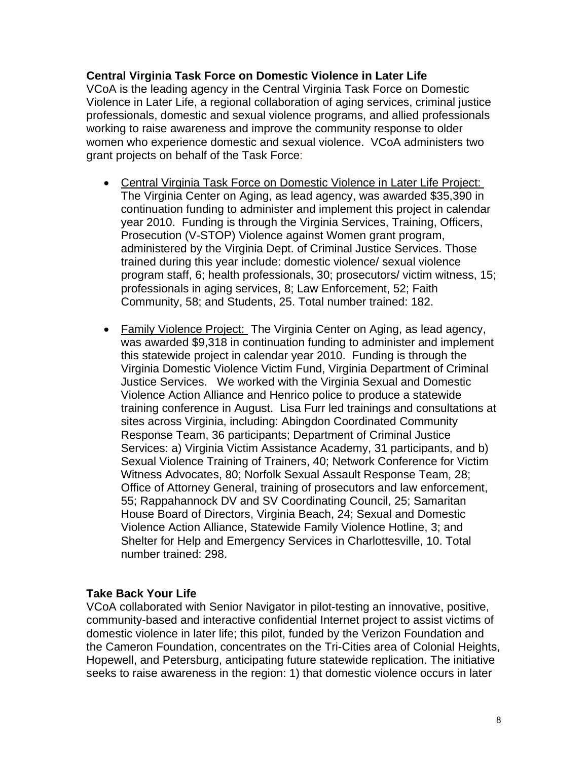### **Central Virginia Task Force on Domestic Violence in Later Life**

VCoA is the leading agency in the Central Virginia Task Force on Domestic Violence in Later Life, a regional collaboration of aging services, criminal justice professionals, domestic and sexual violence programs, and allied professionals working to raise awareness and improve the community response to older women who experience domestic and sexual violence. VCoA administers two grant projects on behalf of the Task Force:

- Central Virginia Task Force on Domestic Violence in Later Life Project: The Virginia Center on Aging, as lead agency, was awarded \$35,390 in continuation funding to administer and implement this project in calendar year 2010. Funding is through the Virginia Services, Training, Officers, Prosecution (V-STOP) Violence against Women grant program, administered by the Virginia Dept. of Criminal Justice Services. Those trained during this year include: domestic violence/ sexual violence program staff, 6; health professionals, 30; prosecutors/ victim witness, 15; professionals in aging services, 8; Law Enforcement, 52; Faith Community, 58; and Students, 25. Total number trained: 182.
- Family Violence Project: The Virginia Center on Aging, as lead agency, was awarded \$9,318 in continuation funding to administer and implement this statewide project in calendar year 2010. Funding is through the Virginia Domestic Violence Victim Fund, Virginia Department of Criminal Justice Services. We worked with the Virginia Sexual and Domestic Violence Action Alliance and Henrico police to produce a statewide training conference in August. Lisa Furr led trainings and consultations at sites across Virginia, including: Abingdon Coordinated Community Response Team, 36 participants; Department of Criminal Justice Services: a) Virginia Victim Assistance Academy, 31 participants, and b) Sexual Violence Training of Trainers, 40; Network Conference for Victim Witness Advocates, 80; Norfolk Sexual Assault Response Team, 28; Office of Attorney General, training of prosecutors and law enforcement, 55; Rappahannock DV and SV Coordinating Council, 25; Samaritan House Board of Directors, Virginia Beach, 24; Sexual and Domestic Violence Action Alliance, Statewide Family Violence Hotline, 3; and Shelter for Help and Emergency Services in Charlottesville, 10. Total number trained: 298.

#### **Take Back Your Life**

VCoA collaborated with Senior Navigator in pilot-testing an innovative, positive, community-based and interactive confidential Internet project to assist victims of domestic violence in later life; this pilot, funded by the Verizon Foundation and the Cameron Foundation, concentrates on the Tri-Cities area of Colonial Heights, Hopewell, and Petersburg, anticipating future statewide replication. The initiative seeks to raise awareness in the region: 1) that domestic violence occurs in later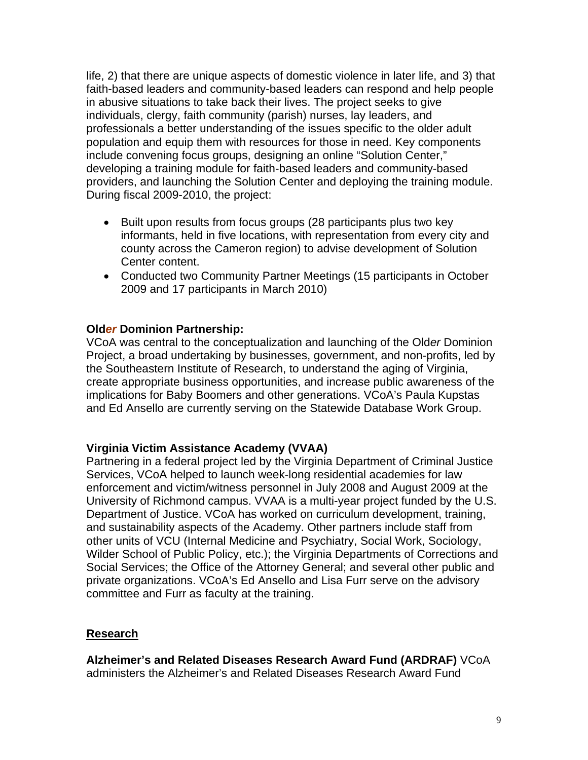life, 2) that there are unique aspects of domestic violence in later life, and 3) that faith-based leaders and community-based leaders can respond and help people in abusive situations to take back their lives. The project seeks to give individuals, clergy, faith community (parish) nurses, lay leaders, and professionals a better understanding of the issues specific to the older adult population and equip them with resources for those in need. Key components include convening focus groups, designing an online "Solution Center," developing a training module for faith-based leaders and community-based providers, and launching the Solution Center and deploying the training module. During fiscal 2009-2010, the project:

- Built upon results from focus groups (28 participants plus two key informants, held in five locations, with representation from every city and county across the Cameron region) to advise development of Solution Center content.
- Conducted two Community Partner Meetings (15 participants in October 2009 and 17 participants in March 2010)

### **Old***er* **Dominion Partnership:**

VCoA was central to the conceptualization and launching of the Old*er* Dominion Project, a broad undertaking by businesses, government, and non-profits, led by the Southeastern Institute of Research, to understand the aging of Virginia, create appropriate business opportunities, and increase public awareness of the implications for Baby Boomers and other generations. VCoA's Paula Kupstas and Ed Ansello are currently serving on the Statewide Database Work Group.

### **Virginia Victim Assistance Academy (VVAA)**

Partnering in a federal project led by the Virginia Department of Criminal Justice Services, VCoA helped to launch week-long residential academies for law enforcement and victim/witness personnel in July 2008 and August 2009 at the University of Richmond campus. VVAA is a multi-year project funded by the U.S. Department of Justice. VCoA has worked on curriculum development, training, and sustainability aspects of the Academy. Other partners include staff from other units of VCU (Internal Medicine and Psychiatry, Social Work, Sociology, Wilder School of Public Policy, etc.); the Virginia Departments of Corrections and Social Services; the Office of the Attorney General; and several other public and private organizations. VCoA's Ed Ansello and Lisa Furr serve on the advisory committee and Furr as faculty at the training.

#### **Research**

**Alzheimer's and Related Diseases Research Award Fund (ARDRAF)** VCoA administers the Alzheimer's and Related Diseases Research Award Fund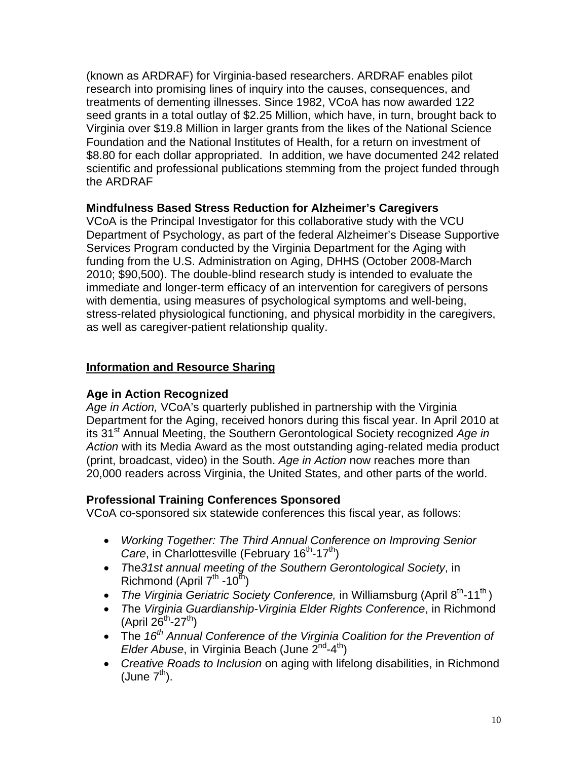(known as ARDRAF) for Virginia-based researchers. ARDRAF enables pilot research into promising lines of inquiry into the causes, consequences, and treatments of dementing illnesses. Since 1982, VCoA has now awarded 122 seed grants in a total outlay of \$2.25 Million, which have, in turn, brought back to Virginia over \$19.8 Million in larger grants from the likes of the National Science Foundation and the National Institutes of Health, for a return on investment of \$8.80 for each dollar appropriated. In addition, we have documented 242 related scientific and professional publications stemming from the project funded through the ARDRAF

### **Mindfulness Based Stress Reduction for Alzheimer's Caregivers**

 VCoA is the Principal Investigator for this collaborative study with the VCU Department of Psychology, as part of the federal Alzheimer's Disease Supportive Services Program conducted by the Virginia Department for the Aging with funding from the U.S. Administration on Aging, DHHS (October 2008-March 2010; \$90,500). The double-blind research study is intended to evaluate the immediate and longer-term efficacy of an intervention for caregivers of persons with dementia, using measures of psychological symptoms and well-being, stress-related physiological functioning, and physical morbidity in the caregivers, as well as caregiver-patient relationship quality.

## **Information and Resource Sharing**

## **Age in Action Recognized**

*Age in Action,* VCoA's quarterly published in partnership with the Virginia Department for the Aging, received honors during this fiscal year. In April 2010 at its 31<sup>st</sup> Annual Meeting, the Southern Gerontological Society recognized Age in *Action* with its Media Award as the most outstanding aging-related media product (print, broadcast, video) in the South. *Age in Action* now reaches more than 20,000 readers across Virginia, the United States, and other parts of the world.

## **Professional Training Conferences Sponsored**

VCoA co-sponsored six statewide conferences this fiscal year, as follows:

- *Working Together: The Third Annual Conference on Improving Senior Care*, in Charlottesville (February 16<sup>th</sup>-17<sup>th</sup>)
- *T*he*31st annual meeting of the Southern Gerontological Society*, in Richmond (April  $7^{th}$  -10<sup>th</sup>)
- *The Virginia Geriatric Society Conference,* in Williamsburg (April 8<sup>th</sup>-11<sup>th</sup>)
- *T*he *Virginia Guardianship-Virginia Elder Rights Conference*, in Richmond  $(April 26<sup>th</sup>-27<sup>th</sup>)$
- The 16<sup>th</sup> Annual Conference of the Virginia Coalition for the Prevention of *Elder Abuse*, in Virginia Beach (June 2<sup>nd</sup>-4<sup>th</sup>)
- *Creative Roads to Inclusion* on aging with lifelong disabilities, in Richmond (June  $7<sup>th</sup>$ ).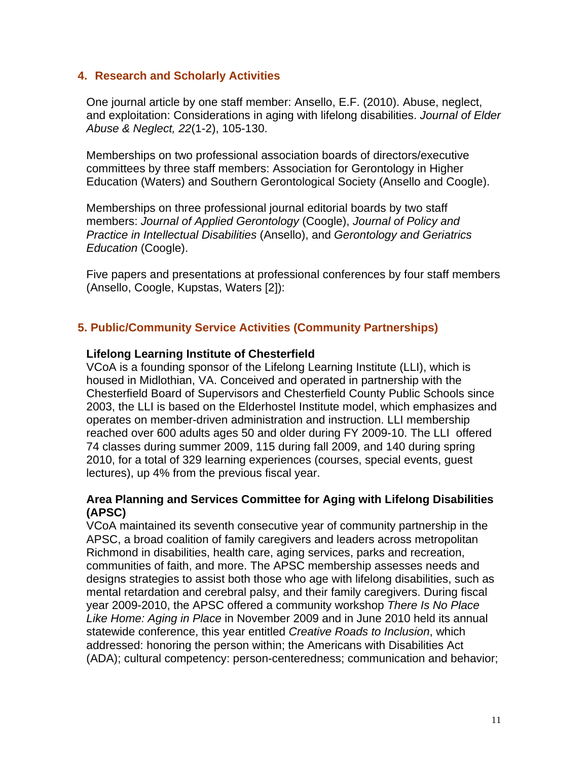### **4. Research and Scholarly Activities**

 One journal article by one staff member: Ansello, E.F. (2010). Abuse, neglect, and exploitation: Considerations in aging with lifelong disabilities. *Journal of Elder Abuse & Neglect, 22*(1-2), 105-130.

Memberships on two professional association boards of directors/executive committees by three staff members: Association for Gerontology in Higher Education (Waters) and Southern Gerontological Society (Ansello and Coogle).

Memberships on three professional journal editorial boards by two staff members: *Journal of Applied Gerontology* (Coogle), *Journal of Policy and Practice in Intellectual Disabilities* (Ansello), and *Gerontology and Geriatrics Education* (Coogle).

 Five papers and presentations at professional conferences by four staff members (Ansello, Coogle, Kupstas, Waters [2]):

## **5. Public/Community Service Activities (Community Partnerships)**

### **Lifelong Learning Institute of Chesterfield**

VCoA is a founding sponsor of the Lifelong Learning Institute (LLI), which is housed in Midlothian, VA. Conceived and operated in partnership with the Chesterfield Board of Supervisors and Chesterfield County Public Schools since 2003, the LLI is based on the Elderhostel Institute model, which emphasizes and operates on member-driven administration and instruction. LLI membership reached over 600 adults ages 50 and older during FY 2009-10. The LLI offered 74 classes during summer 2009, 115 during fall 2009, and 140 during spring 2010, for a total of 329 learning experiences (courses, special events, guest lectures), up 4% from the previous fiscal year.

### **Area Planning and Services Committee for Aging with Lifelong Disabilities (APSC)**

VCoA maintained its seventh consecutive year of community partnership in the APSC, a broad coalition of family caregivers and leaders across metropolitan Richmond in disabilities, health care, aging services, parks and recreation, communities of faith, and more. The APSC membership assesses needs and designs strategies to assist both those who age with lifelong disabilities, such as mental retardation and cerebral palsy, and their family caregivers. During fiscal year 2009-2010, the APSC offered a community workshop *There Is No Place Like Home: Aging in Place* in November 2009 and in June 2010 held its annual statewide conference, this year entitled *Creative Roads to Inclusion*, which addressed: honoring the person within; the Americans with Disabilities Act (ADA); cultural competency: person-centeredness; communication and behavior;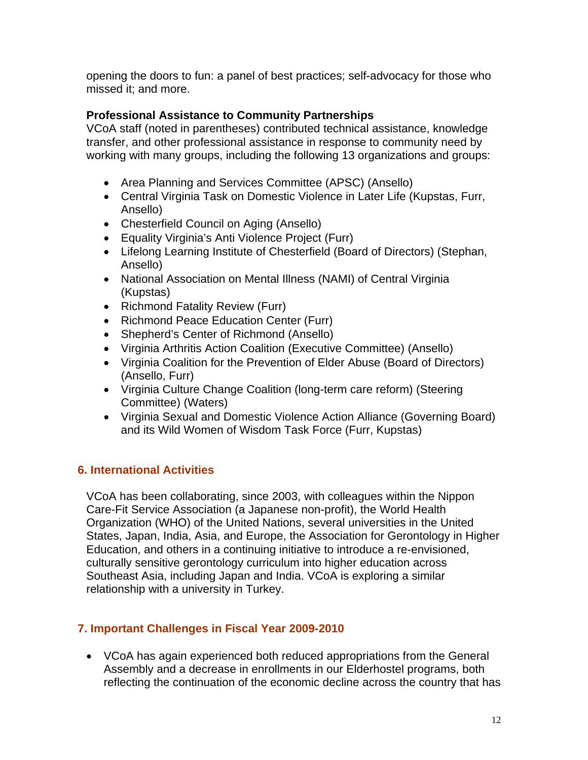opening the doors to fun: a panel of best practices; self-advocacy for those who missed it; and more.

## **Professional Assistance to Community Partnerships**

VCoA staff (noted in parentheses) contributed technical assistance, knowledge transfer, and other professional assistance in response to community need by working with many groups, including the following 13 organizations and groups:

- Area Planning and Services Committee (APSC) (Ansello)
- Central Virginia Task on Domestic Violence in Later Life (Kupstas, Furr, Ansello)
- Chesterfield Council on Aging (Ansello)
- Equality Virginia's Anti Violence Project (Furr)
- Lifelong Learning Institute of Chesterfield (Board of Directors) (Stephan, Ansello)
- National Association on Mental Illness (NAMI) of Central Virginia (Kupstas)
- Richmond Fatality Review (Furr)
- Richmond Peace Education Center (Furr)
- Shepherd's Center of Richmond (Ansello)
- Virginia Arthritis Action Coalition (Executive Committee) (Ansello)
- Virginia Coalition for the Prevention of Elder Abuse (Board of Directors) (Ansello, Furr)
- Virginia Culture Change Coalition (long-term care reform) (Steering Committee) (Waters)
- Virginia Sexual and Domestic Violence Action Alliance (Governing Board) and its Wild Women of Wisdom Task Force (Furr, Kupstas)

# **6. International Activities**

VCoA has been collaborating, since 2003, with colleagues within the Nippon Care-Fit Service Association (a Japanese non-profit), the World Health Organization (WHO) of the United Nations, several universities in the United States, Japan, India, Asia, and Europe, the Association for Gerontology in Higher Education, and others in a continuing initiative to introduce a re-envisioned, culturally sensitive gerontology curriculum into higher education across Southeast Asia, including Japan and India. VCoA is exploring a similar relationship with a university in Turkey.

# **7. Important Challenges in Fiscal Year 2009-2010**

• VCoA has again experienced both reduced appropriations from the General Assembly and a decrease in enrollments in our Elderhostel programs, both reflecting the continuation of the economic decline across the country that has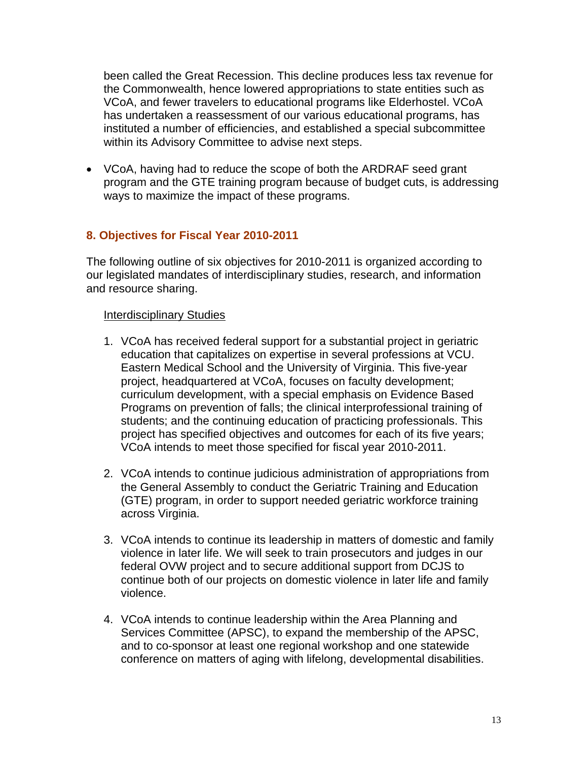been called the Great Recession. This decline produces less tax revenue for the Commonwealth, hence lowered appropriations to state entities such as VCoA, and fewer travelers to educational programs like Elderhostel. VCoA has undertaken a reassessment of our various educational programs, has instituted a number of efficiencies, and established a special subcommittee within its Advisory Committee to advise next steps.

• VCoA, having had to reduce the scope of both the ARDRAF seed grant program and the GTE training program because of budget cuts, is addressing ways to maximize the impact of these programs.

### **8. Objectives for Fiscal Year 2010-2011**

The following outline of six objectives for 2010-2011 is organized according to our legislated mandates of interdisciplinary studies, research, and information and resource sharing.

### Interdisciplinary Studies

- 1. VCoA has received federal support for a substantial project in geriatric education that capitalizes on expertise in several professions at VCU. Eastern Medical School and the University of Virginia. This five-year project, headquartered at VCoA, focuses on faculty development; curriculum development, with a special emphasis on Evidence Based Programs on prevention of falls; the clinical interprofessional training of students; and the continuing education of practicing professionals. This project has specified objectives and outcomes for each of its five years; VCoA intends to meet those specified for fiscal year 2010-2011.
- 2. VCoA intends to continue judicious administration of appropriations from the General Assembly to conduct the Geriatric Training and Education (GTE) program, in order to support needed geriatric workforce training across Virginia.
- 3. VCoA intends to continue its leadership in matters of domestic and family violence in later life. We will seek to train prosecutors and judges in our federal OVW project and to secure additional support from DCJS to continue both of our projects on domestic violence in later life and family violence.
- 4. VCoA intends to continue leadership within the Area Planning and Services Committee (APSC), to expand the membership of the APSC, and to co-sponsor at least one regional workshop and one statewide conference on matters of aging with lifelong, developmental disabilities.